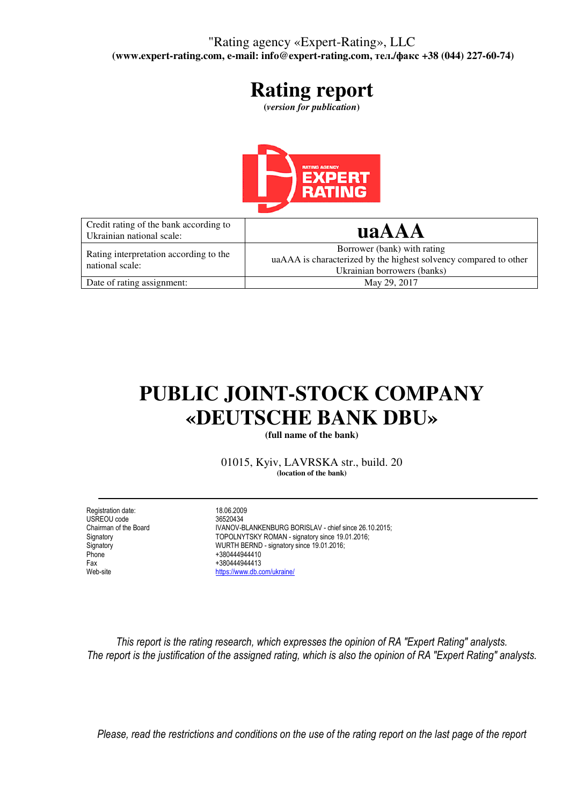### "Rating agency «Expert-Rating», LLC  **(www.expert-rating.com, e-mail: info@expert-rating.com,** тел**./**факс **+38 (044) 227-60-74)**

# **Rating report**

**(***version for publication***)** 



| Credit rating of the bank according to<br>Ukrainian national scale: | uaAAA                                                                                                                          |
|---------------------------------------------------------------------|--------------------------------------------------------------------------------------------------------------------------------|
| Rating interpretation according to the<br>national scale:           | Borrower (bank) with rating<br>uaAAA is characterized by the highest solvency compared to other<br>Ukrainian borrowers (banks) |
| Date of rating assignment:                                          | May 29, 2017                                                                                                                   |

# **PUBLIC JOINT-STOCK COMPANY «DEUTSCHE BANK DBU»**

**(full name of the bank)** 

01015, Kyiv, LAVRSKA str., build. 20 **(location of the bank)** 

Registration date: 18.06.2009<br>USREOU code 18.06.2009 136520434 USREOU code<br>Chairman of the Board Phone +380444944410<br>Fax +380444944413 Fax +380444944413<br>Web-site https://www.db.c

Chairman of the Board **IVANOV-BLANKENBURG BORISLAV - chief since 26.10.2015;**<br>
TOPOLNYTSKY ROMAN - signatory since 19.01.2016; Signatory **TOPOLNYTSKY ROMAN - signatory since 19.01.2016;**<br>
WURTH BERND - signatory since 19.01.2016; Signatory WURTH BERND - signatory since 19.01.2016; https://www.db.com/ukraine/

This report is the rating research, which expresses the opinion of RA "Expert Rating" analysts. The report is the justification of the assigned rating, which is also the opinion of RA "Expert Rating" analysts.

Please, read the restrictions and conditions on the use of the rating report on the last page of the report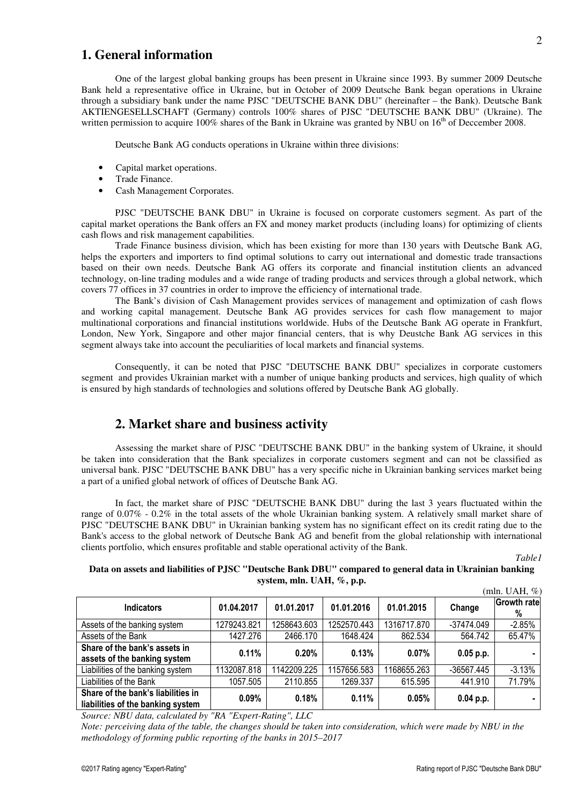### **1. General information**

 One of the largest global banking groups has been present in Ukraine since 1993. By summer 2009 Deutsche Bank held a representative office in Ukraine, but in October of 2009 Deutsche Bank began operations in Ukraine through a subsidiary bank under the name PJSC "DEUTSCHE BANK DBU" (hereinafter – the Bank). Deutsche Bank AKTIENGESELLSCHAFT (Germany) controls 100% shares of PJSC "DEUTSCHE BANK DBU" (Ukraine). The written permission to acquire 100% shares of the Bank in Ukraine was granted by NBU on 16<sup>th</sup> of Deccember 2008.

Deutsche Bank AG conducts operations in Ukraine within three divisions:

- Capital market operations.
- Trade Finance.
- Cash Management Corporates.

 PJSC "DEUTSCHE BANK DBU" in Ukraine is focused on corporate customers segment. As part of the capital market operations the Bank offers an FX and money market products (including loans) for optimizing of clients cash flows and risk management capabilities.

 Trade Finance business division, which has been existing for more than 130 years with Deutsche Bank AG, helps the exporters and importers to find optimal solutions to carry out international and domestic trade transactions based on their own needs. Deutsche Bank AG offers its corporate and financial institution clients an advanced technology, on-line trading modules and a wide range of trading products and services through a global network, which covers 77 offices in 37 countries in order to improve the efficiency of international trade.

 The Bank's division of Cash Management provides services of management and optimization of cash flows and working capital management. Deutsche Bank AG provides services for cash flow management to major multinational corporations and financial institutions worldwide. Hubs of the Deutsche Bank AG operate in Frankfurt, London, New York, Singapore and other major financial centers, that is why Deustche Bank AG services in this segment always take into account the peculiarities of local markets and financial systems.

 Consequently, it can be noted that PJSC "DEUTSCHE BANK DBU" specializes in corporate customers segment and provides Ukrainian market with a number of unique banking products and services, high quality of which is ensured by high standards of technologies and solutions offered by Deutsche Bank AG globally.

#### **2. Market share and business activity**

 Assessing the market share of PJSC "DEUTSCHE BANK DBU" in the banking system of Ukraine, it should be taken into consideration that the Bank specializes in corporate customers segment and can not be classified as universal bank. PJSC "DEUTSCHE BANK DBU" has a very specific niche in Ukrainian banking services market being a part of a unified global network of offices of Deutsche Bank AG.

 In fact, the market share of PJSC "DEUTSCHE BANK DBU" during the last 3 years fluctuated within the range of 0.07% - 0.2% in the total assets of the whole Ukrainian banking system. A relatively small market share of PJSC "DEUTSCHE BANK DBU" in Ukrainian banking system has no significant effect on its credit rating due to the Bank's access to the global network of Deutsche Bank AG and benefit from the global relationship with international clients portfolio, which ensures profitable and stable operational activity of the Bank.

*Table1* 

#### **Data on assets and liabilities of PJSC "Deutsche Bank DBU" compared to general data in Ukrainian banking system, mln. UAH, %, p.p.**   $(mln \quad \text{IIAH} \quad \emptyset)$

|                                                                         |             |             |             |             |             | (min. UAH. %)           |
|-------------------------------------------------------------------------|-------------|-------------|-------------|-------------|-------------|-------------------------|
| <b>Indicators</b>                                                       | 01.04.2017  | 01.01.2017  | 01.01.2016  | 01.01.2015  | Change      | <b>Growth rate</b><br>% |
| Assets of the banking system                                            | 1279243.821 | 1258643.603 | 1252570.443 | 1316717.870 | -37474.049  | $-2.85%$                |
| Assets of the Bank                                                      | 1427.276    | 2466.170    | 1648.424    | 862.534     | 564.742     | 65.47%                  |
| Share of the bank's assets in<br>assets of the banking system           | 0.11%       | 0.20%       | 0.13%       | $0.07\%$    | $0.05$ p.p. |                         |
| Liabilities of the banking system                                       | 1132087.818 | 1142209.225 | 1157656.583 | 1168655.263 | -36567.445  | $-3.13%$                |
| Liabilities of the Bank                                                 | 1057.505    | 2110.855    | 1269.337    | 615.595     | 441.910     | 71.79%                  |
| Share of the bank's liabilities in<br>liabilities of the banking system | $0.09\%$    | 0.18%       | 0.11%       | 0.05%       | $0.04$ p.p. |                         |

*Source: NBU data, calculated by "RA "Expert-Rating", LLC* 

*Note: perceiving data of the table, the changes should be taken into consideration, which were made by NBU in the methodology of forming public reporting of the banks in 2015–2017*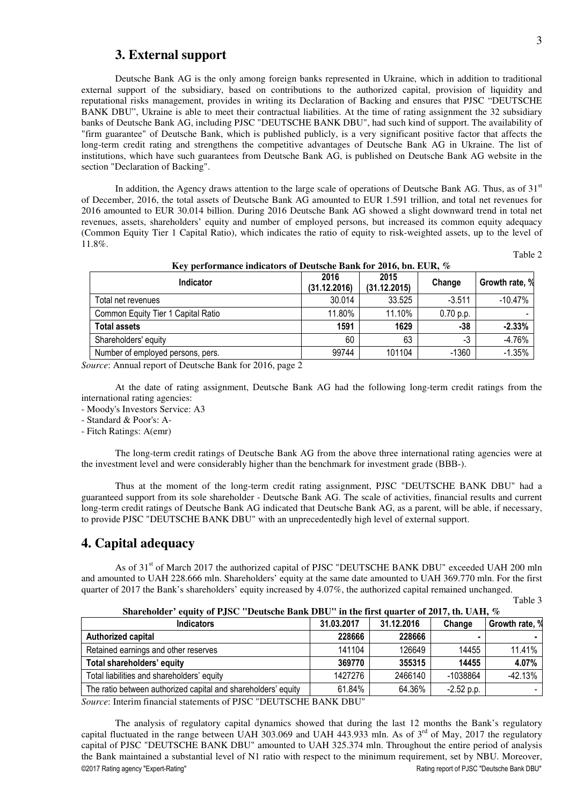#### **3. External support**

 Deutsche Bank AG is the only among foreign banks represented in Ukraine, which in addition to traditional external support of the subsidiary, based on contributions to the authorized capital, provision of liquidity and reputational risks management, provides in writing its Declaration of Backing and ensures that PJSC "DEUTSCHE BANK DBU", Ukraine is able to meet their contractual liabilities. At the time of rating assignment the 32 subsidiary banks of Deutsche Bank AG, including PJSC "DEUTSCHE BANK DBU", had such kind of support. The availability of "firm guarantee" of Deutsche Bank, which is published publicly, is a very significant positive factor that affects the long-term credit rating and strengthens the competitive advantages of Deutsche Bank AG in Ukraine. The list of institutions, which have such guarantees from Deutsche Bank AG, is published on Deutsche Bank AG website in the section "Declaration of Backing".

In addition, the Agency draws attention to the large scale of operations of Deutsche Bank AG. Thus, as of  $31<sup>st</sup>$ of December, 2016, the total assets of Deutsche Bank AG amounted to EUR 1.591 trillion, and total net revenues for 2016 amounted to EUR 30.014 billion. During 2016 Deutsche Bank AG showed a slight downward trend in total net revenues, assets, shareholders' equity and number of employed persons, but increased its common equity adequacy (Common Equity Tier 1 Capital Ratio), which indicates the ratio of equity to risk-weighted assets, up to the level of 11.8%.

Table 2

| Key performance indicators of Deutsche Bank for 2016, bn. EUR, % |                      |                      |           |                |  |  |
|------------------------------------------------------------------|----------------------|----------------------|-----------|----------------|--|--|
| <b>Indicator</b>                                                 | 2016<br>(31.12.2016) | 2015<br>(31.12.2015) | Change    | Growth rate, % |  |  |
| Total net revenues                                               | 30.014               | 33.525               | $-3.511$  | $-10.47%$      |  |  |
| Common Equity Tier 1 Capital Ratio                               | 11.80%               | 11.10%               | 0.70 p.p. |                |  |  |
| <b>Total assets</b>                                              | 1591                 | 1629                 | -38       | $-2.33%$       |  |  |
| Shareholders' equity                                             | 60                   | 63                   | $-3$      | $-4.76%$       |  |  |
| Number of employed persons, pers.                                | 99744                | 101104               | $-1360$   | $-1.35%$       |  |  |

*Source*: Annual report of Deutsche Bank for 2016, page 2

 At the date of rating assignment, Deutsche Bank AG had the following long-term credit ratings from the international rating agencies:

- Moody's Investors Service: А3

- Standard & Poor's: A-

- Fitch Ratings: A(emr)

 The long-term credit ratings of Deutsche Bank AG from the above three international rating agencies were at the investment level and were considerably higher than the benchmark for investment grade (ВВВ-).

 Thus at the moment of the long-term credit rating assignment, PJSC "DEUTSCHE BANK DBU" had a guaranteed support from its sole shareholder - Deutsche Bank AG. The scale of activities, financial results and current long-term credit ratings of Deutsche Bank AG indicated that Deutsche Bank AG, as a parent, will be able, if necessary, to provide PJSC "DEUTSCHE BANK DBU" with an unprecedentedly high level of external support.

#### **4. Capital adequacy**

As of 31<sup>st</sup> of March 2017 the authorized capital of PJSC "DEUTSCHE BANK DBU" exceeded UAH 200 mln and amounted to UAH 228.666 mln. Shareholders' equity at the same date amounted to UAH 369.770 mln. For the first quarter of 2017 the Bank's shareholders' equity increased by 4.07%, the authorized capital remained unchanged.

| `able |  |
|-------|--|
|-------|--|

| Shareholder' equity of PJSC ''Deutsche Bank DBU'' in the first quarter of 2017, th. UAH, $\%$ |  |  |
|-----------------------------------------------------------------------------------------------|--|--|
|                                                                                               |  |  |

| <b>Indicators</b>                                             | 31.03.2017 | 31.12.2016 | Change       | Growth rate, % |
|---------------------------------------------------------------|------------|------------|--------------|----------------|
| <b>Authorized capital</b>                                     | 228666     | 228666     |              |                |
| Retained earnings and other reserves                          | 141104     | 126649     | 14455        | 11.41%         |
| Total shareholders' equity                                    | 369770     | 355315     | 14455        | 4.07%          |
| Total liabilities and shareholders' equity                    | 1427276    | 2466140    | -1038864     | $-42.13%$      |
| The ratio between authorized capital and shareholders' equity | 61.84%     | 64.36%     | $-2.52$ p.p. |                |

*Source*: Interim financial statements of PJSC "DEUTSCHE BANK DBU"

©2017 Rating agency "Expert-Rating" Rating report of PJSC "Deutsche Bank DBU" The analysis of regulatory capital dynamics showed that during the last 12 months the Bank's regulatory capital fluctuated in the range between UAH 303.069 and UAH 443.933 mln. As of 3<sup>rd</sup> of May, 2017 the regulatory capital of PJSC "DEUTSCHE BANK DBU" amounted to UAH 325.374 mln. Throughout the entire period of analysis the Bank maintained a substantial level of N1 ratio with respect to the minimum requirement, set by NBU. Moreover,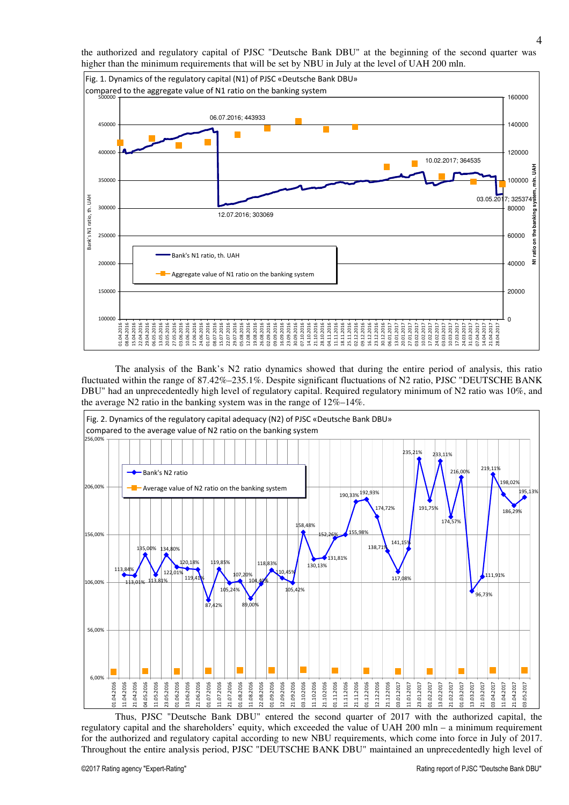the authorized and regulatory capital of PJSC "Deutsche Bank DBU" at the beginning of the second quarter was higher than the minimum requirements that will be set by NBU in July at the level of UAH 200 mln.



 The analysis of the Bank's N2 ratio dynamics showed that during the entire period of analysis, this ratio fluctuated within the range of 87.42%–235.1%. Despite significant fluctuations of N2 ratio, PJSC "DEUTSCHE BANK DBU" had an unprecedentedly high level of regulatory capital. Required regulatory minimum of N2 ratio was 10%, and the average N2 ratio in the banking system was in the range of 12%–14%.



 Thus, PJSC "Deutsche Bank DBU" entered the second quarter of 2017 with the authorized capital, the regulatory capital and the shareholders' equity, which exceeded the value of UAH 200 mln – a minimum requirement for the authorized and regulatory capital according to new NBU requirements, which come into force in July of 2017. Throughout the entire analysis period, PJSC "DEUTSCHE BANK DBU" maintained an unprecedentedly high level of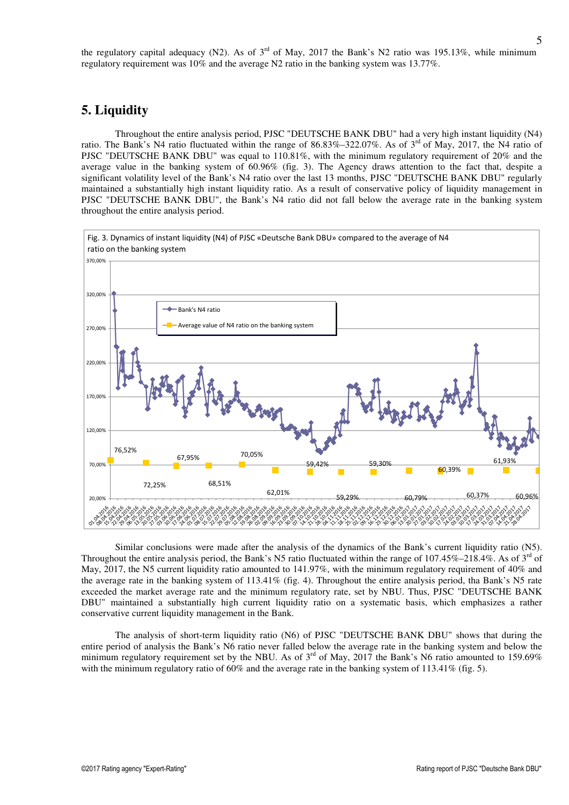the regulatory capital adequacy (N2). As of  $3<sup>rd</sup>$  of May, 2017 the Bank's N2 ratio was 195.13%, while minimum regulatory requirement was 10% and the average N2 ratio in the banking system was 13.77%.

#### **5. Liquidity**

 Throughout the entire analysis period, PJSC "DEUTSCHE BANK DBU" had a very high instant liquidity (N4) ratio. The Bank's N4 ratio fluctuated within the range of  $86.83\% - 322.07\%$ . As of  $3<sup>rd</sup>$  of May, 2017, the N4 ratio of PJSC "DEUTSCHE BANK DBU" was equal to 110.81%, with the minimum regulatory requirement of 20% and the average value in the banking system of 60.96% (fig. 3). The Agency draws attention to the fact that, despite a significant volatility level of the Bank's N4 ratio over the last 13 months, PJSC "DEUTSCHE BANK DBU" regularly maintained a substantially high instant liquidity ratio. As a result of conservative policy of liquidity management in PJSC "DEUTSCHE BANK DBU", the Bank's N4 ratio did not fall below the average rate in the banking system throughout the entire analysis period.



 Similar conclusions were made after the analysis of the dynamics of the Bank's current liquidity ratio (N5). Throughout the entire analysis period, the Bank's N5 ratio fluctuated within the range of  $107.45\%$ –218.4%. As of  $3<sup>rd</sup>$  of May, 2017, the N5 current liquidity ratio amounted to 141.97%, with the minimum regulatory requirement of 40% and the average rate in the banking system of 113.41% (fig. 4). Throughout the entire analysis period, tha Bank's N5 rate exceeded the market average rate and the minimum regulatory rate, set by NBU. Thus, PJSC "DEUTSCHE BANK DBU" maintained a substantially high current liquidity ratio on a systematic basis, which emphasizes a rather conservative current liquidity management in the Bank.

 The analysis of short-term liquidity ratio (N6) of PJSC "DEUTSCHE BANK DBU" shows that during the entire period of analysis the Bank's N6 ratio never falled below the average rate in the banking system and below the minimum regulatory requirement set by the NBU. As of  $3<sup>rd</sup>$  of May, 2017 the Bank's N6 ratio amounted to 159.69% with the minimum regulatory ratio of  $60\%$  and the average rate in the banking system of  $113.41\%$  (fig. 5).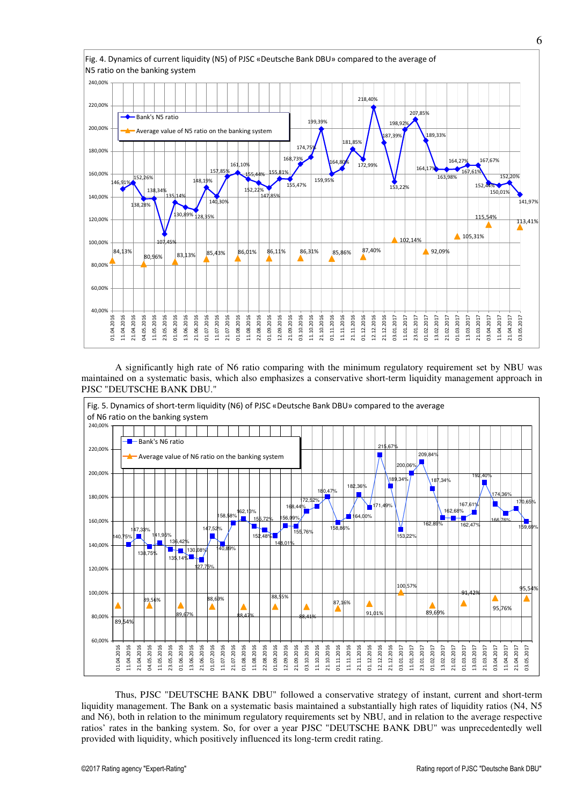

 A significantly high rate of N6 ratio comparing with the minimum regulatory requirement set by NBU was maintained on a systematic basis, which also emphasizes a conservative short-term liquidity management approach in PJSC "DEUTSCHE BANK DBU."



 Thus, PJSC "DEUTSCHE BANK DBU" followed a conservative strategy of instant, current and short-term liquidity management. The Bank on a systematic basis maintained a substantially high rates of liquidity ratios (N4, N5 and N6), both in relation to the minimum regulatory requirements set by NBU, and in relation to the average respective ratios' rates in the banking system. So, for over a year PJSC "DEUTSCHE BANK DBU" was unprecedentedly well provided with liquidity, which positively influenced its long-term credit rating.

6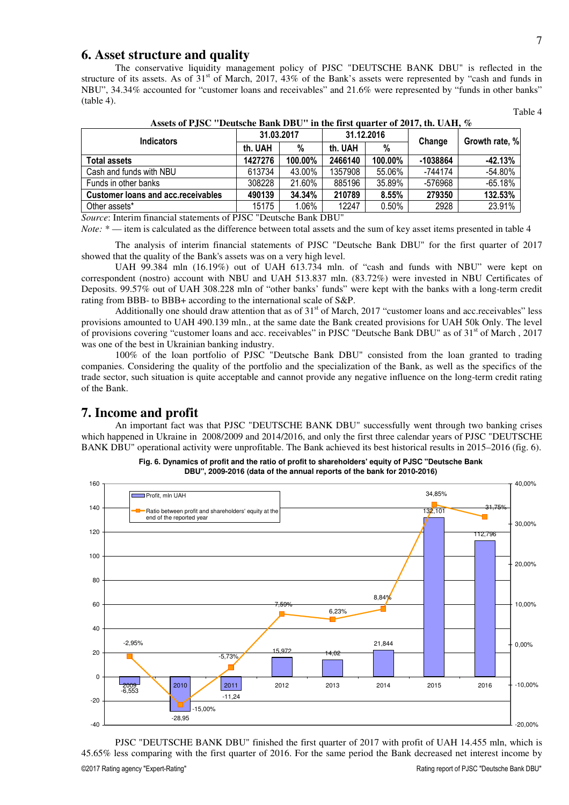#### **6. Asset structure and quality**

 The conservative liquidity management policy of PJSC "DEUTSCHE BANK DBU" is reflected in the structure of its assets. As of  $31<sup>st</sup>$  of March, 2017, 43% of the Bank's assets were represented by "cash and funds in NBU", 34.34% accounted for "customer loans and receivables" and 21.6% were represented by "funds in other banks" (table 4).

| Assets of P.J.SC "Deutsche Bank DBU" in the first quarter of 2017, th. UAH, $\%$ |            |         |            |          |            |                |  |
|----------------------------------------------------------------------------------|------------|---------|------------|----------|------------|----------------|--|
| <b>Indicators</b>                                                                | 31.03.2017 |         | 31.12.2016 |          |            | Growth rate, % |  |
|                                                                                  | th. UAH    | %       | th. UAH    | %        | Change     |                |  |
| <b>Total assets</b>                                                              | 1427276    | 100.00% | 2466140    | 100.00%  | $-1038864$ | $-42.13%$      |  |
| Cash and funds with NBU                                                          | 613734     | 43.00%  | 1357908    | 55.06%   | -744174    | $-54.80%$      |  |
| Funds in other banks                                                             | 308228     | 21.60%  | 885196     | 35.89%   | -576968    | $-65.18%$      |  |
| <b>Customer loans and acc. receivables</b>                                       | 490139     | 34.34%  | 210789     | 8.55%    | 279350     | 132.53%        |  |
| Other assets*                                                                    | 15175      | 1.06%   | 12247      | $0.50\%$ | 2928       | 23.91%         |  |

**Assets of PJSC "Deutsche Bank DBU" in the first quarter of 2017, th. UAH, %** 

*Source*: Interim financial statements of PJSC "Deutsche Bank DBU"

*Note:*  $*$  — item is calculated as the difference between total assets and the sum of key asset items presented in table 4

 The analysis of interim financial statements of PJSC "Deutsche Bank DBU" for the first quarter of 2017 showed that the quality of the Bank's assets was on a very high level.

 UAH 99.384 mln (16.19%) out of UAH 613.734 mln. of "cash and funds with NBU" were kept on correspondent (nostro) account with NBU and UAH 513.837 mln. (83.72%) were invested in NBU Certificates of Deposits. 99.57% out of UAH 308.228 mln of "other banks' funds" were kept with the banks with a long-term credit rating from ВВВ- to ВВВ+ according to the international scale of S&P.

Additionally one should draw attention that as of  $31<sup>st</sup>$  of March, 2017 "customer loans and acc.receivables" less provisions amounted to UAH 490.139 mln., at the same date the Bank created provisions for UAH 50k Only. The level of provisions covering "customer loans and acc. receivables" in PJSC "Deutsche Bank DBU" as of 31<sup>st</sup> of March, 2017 was one of the best in Ukrainian banking industry.

 100% of the loan portfolio of PJSC "Deutsche Bank DBU" consisted from the loan granted to trading companies. Considering the quality of the portfolio and the specialization of the Bank, as well as the specifics of the trade sector, such situation is quite acceptable and cannot provide any negative influence on the long-term credit rating of the Bank.

#### **7. Income and profit**

 An important fact was that PJSC "DEUTSCHE BANK DBU" successfully went through two banking crises which happened in Ukraine in 2008/2009 and 2014/2016, and only the first three calendar years of PJSC "DEUTSCHE BANK DBU" operational activity were unprofitable. The Bank achieved its best historical results in 2015–2016 (fig. 6).



**Fig. 6. Dynamics of profit and the ratio of profit to shareholders' equity of PJSC "Deutsche Bank DBU", 2009-2016 (data of the annual reports of the bank for 2010-2016)**

©2017 Rating agency "Expert-Rating" Rating report of PJSC "Deutsche Bank DBU" PJSC "DEUTSCHE BANK DBU" finished the first quarter of 2017 with profit of UAH 14.455 mln, which is 45.65% less comparing with the first quarter of 2016. For the same period the Bank decreased net interest income by

Table 4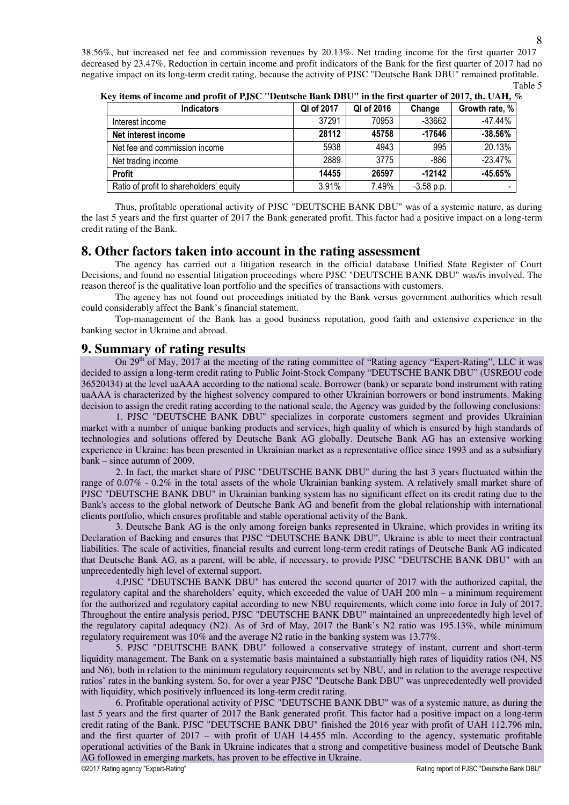38.56%, but increased net fee and commission revenues by 20.13%. Net trading income for the first quarter 2017 decreased by 23.47%. Reduction in certain income and profit indicators of the Bank for the first quarter of 2017 had no negative impact on its long-term credit rating, because the activity of PJSC "Deutsche Bank DBU" remained profitable. Table 5

| $\alpha$ and $\alpha$ in the comparison of $\alpha$ is the control of $\alpha$ in the control of $\alpha$ is $\alpha$ in $\alpha$ . |            |            |              |                |  |  |
|-------------------------------------------------------------------------------------------------------------------------------------|------------|------------|--------------|----------------|--|--|
| <b>Indicators</b>                                                                                                                   | QI of 2017 | QI of 2016 | Change       | Growth rate, % |  |  |
| Interest income                                                                                                                     | 37291      | 70953      | -33662       | $-47.44%$      |  |  |
| Net interest income                                                                                                                 | 28112      | 45758      | $-17646$     | $-38.56%$      |  |  |
| Net fee and commission income                                                                                                       | 5938       | 4943       | 995          | 20.13%         |  |  |
| Net trading income                                                                                                                  | 2889       | 3775       | -886         | $-23.47%$      |  |  |
| <b>Profit</b>                                                                                                                       | 14455      | 26597      | $-12142$     | $-45.65%$      |  |  |
| Ratio of profit to shareholders' equity                                                                                             | 3.91%      | 7.49%      | $-3.58$ p.p. |                |  |  |

**Key items of income and profit of PJSC "Deutsche Bank DBU" in the first quarter of 2017, th. UAH, %** 

 Thus, profitable operational activity of PJSC "DEUTSCHE BANK DBU" was of a systemic nature, as during the last 5 years and the first quarter of 2017 the Bank generated profit. This factor had a positive impact on a long-term credit rating of the Bank.

#### **8. Other factors taken into account in the rating assessment**

The agency has carried out a litigation research in the official database Unified State Register of Court Decisions, and found no essential litigation proceedings where PJSC "DEUTSCHE BANK DBU" was/is involved. The reason thereof is the qualitative loan portfolio and the specifics of transactions with customers.

The agency has not found out proceedings initiated by the Bank versus government authorities which result could considerably affect the Bank's financial statement.

Top-management of the Bank has a good business reputation, good faith and extensive experience in the banking sector in Ukraine and abroad.

#### **9. Summary of rating results**

 On 29th of May, 2017 at the meeting of the rating committee of "Rating agency "Expert-Rating", LLC it was decided to assign a long-term credit rating to Public Joint-Stock Company "DEUTSCHE BANK DBU" (USREOU code 36520434) at the level uaAAA according to the national scale. Borrower (bank) or separate bond instrument with rating uaAAA is characterized by the highest solvency compared to other Ukrainian borrowers or bond instruments. Making decision to assign the credit rating according to the national scale, the Agency was guided by the following conclusions:

1. PJSC "DEUTSCHE BANK DBU" specializes in corporate customers segment and provides Ukrainian market with a number of unique banking products and services, high quality of which is ensured by high standards of technologies and solutions offered by Deutsche Bank AG globally. Deutsche Bank AG has an extensive working experience in Ukraine: has been presented in Ukrainian market as a representative office since 1993 and as a subsidiary bank – since autumn of 2009.

2. In fact, the market share of PJSC "DEUTSCHE BANK DBU" during the last 3 years fluctuated within the range of 0.07% - 0.2% in the total assets of the whole Ukrainian banking system. A relatively small market share of PJSC "DEUTSCHE BANK DBU" in Ukrainian banking system has no significant effect on its credit rating due to the Bank's access to the global network of Deutsche Bank AG and benefit from the global relationship with international clients portfolio, which ensures profitable and stable operational activity of the Bank.

3. Deutsche Bank AG is the only among foreign banks represented in Ukraine, which provides in writing its Declaration of Backing and ensures that PJSC "DEUTSCHE BANK DBU", Ukraine is able to meet their contractual liabilities. The scale of activities, financial results and current long-term credit ratings of Deutsche Bank AG indicated that Deutsche Bank AG, as a parent, will be able, if necessary, to provide PJSC "DEUTSCHE BANK DBU" with an unprecedentedly high level of external support.

4.PJSC "DEUTSCHE BANK DBU" has entered the second quarter of 2017 with the authorized capital, the regulatory capital and the shareholders' equity, which exceeded the value of UAH 200 mln – a minimum requirement for the authorized and regulatory capital according to new NBU requirements, which come into force in July of 2017. Throughout the entire analysis period, PJSC "DEUTSCHE BANK DBU" maintained an unprecedentedly high level of the regulatory capital adequacy (N2). As of 3rd of May, 2017 the Bank's N2 ratio was 195.13%, while minimum regulatory requirement was 10% and the average N2 ratio in the banking system was 13.77%.

5. PJSC "DEUTSCHE BANK DBU" followed a conservative strategy of instant, current and short-term liquidity management. The Bank on a systematic basis maintained a substantially high rates of liquidity ratios (N4, N5 and N6), both in relation to the minimum regulatory requirements set by NBU, and in relation to the average respective ratios' rates in the banking system. So, for over a year PJSC "Deutsche Bank DBU" was unprecedentedly well provided with liquidity, which positively influenced its long-term credit rating.

©2017 Rating agency "Expert-Rating" Rating report of PJSC "Deutsche Bank DBU" 6. Profitable operational activity of PJSC "DEUTSCHE BANK DBU" was of a systemic nature, as during the last 5 years and the first quarter of 2017 the Bank generated profit. This factor had a positive impact on a long-term credit rating of the Bank. PJSC "DEUTSCHE BANK DBU" finished the 2016 year with profit of UAH 112.796 mln, and the first quarter of 2017 – with profit of UAH 14.455 mln. According to the agency, systematic profitable operational activities of the Bank in Ukraine indicates that a strong and competitive business model of Deutsche Bank AG followed in emerging markets, has proven to be effective in Ukraine.